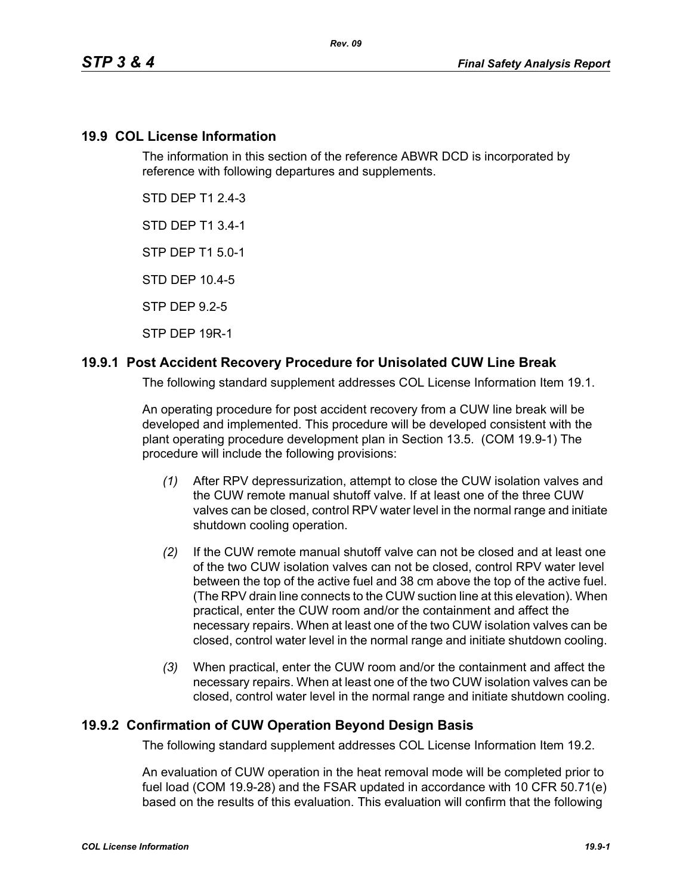#### **19.9 COL License Information**

The information in this section of the reference ABWR DCD is incorporated by reference with following departures and supplements.

STD DEP T1 2.4-3

STD DEP T1 3.4-1

STP DEP T1 5.0-1

STD DEP 10.4-5

STP DEP 9.2-5

STP DEP 19R-1

## **19.9.1 Post Accident Recovery Procedure for Unisolated CUW Line Break**

The following standard supplement addresses COL License Information Item 19.1.

An operating procedure for post accident recovery from a CUW line break will be developed and implemented. This procedure will be developed consistent with the plant operating procedure development plan in Section 13.5. (COM 19.9-1) The procedure will include the following provisions:

- *(1)* After RPV depressurization, attempt to close the CUW isolation valves and the CUW remote manual shutoff valve. If at least one of the three CUW valves can be closed, control RPV water level in the normal range and initiate shutdown cooling operation.
- *(2)* If the CUW remote manual shutoff valve can not be closed and at least one of the two CUW isolation valves can not be closed, control RPV water level between the top of the active fuel and 38 cm above the top of the active fuel. (The RPV drain line connects to the CUW suction line at this elevation). When practical, enter the CUW room and/or the containment and affect the necessary repairs. When at least one of the two CUW isolation valves can be closed, control water level in the normal range and initiate shutdown cooling.
- *(3)* When practical, enter the CUW room and/or the containment and affect the necessary repairs. When at least one of the two CUW isolation valves can be closed, control water level in the normal range and initiate shutdown cooling.

## **19.9.2 Confirmation of CUW Operation Beyond Design Basis**

The following standard supplement addresses COL License Information Item 19.2.

An evaluation of CUW operation in the heat removal mode will be completed prior to fuel load (COM 19.9-28) and the FSAR updated in accordance with 10 CFR 50.71(e) based on the results of this evaluation. This evaluation will confirm that the following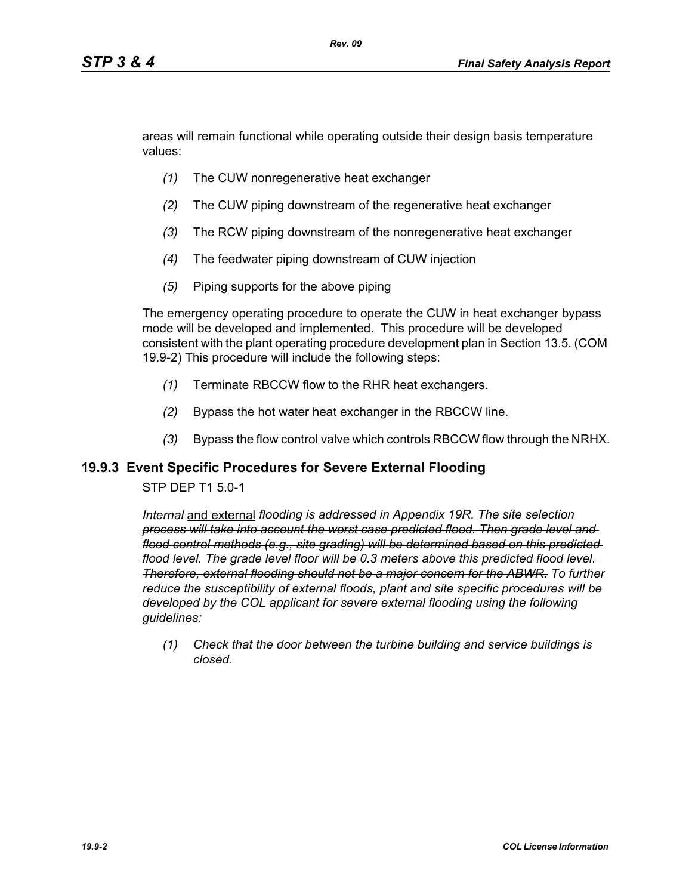areas will remain functional while operating outside their design basis temperature values:

- *(1)* The CUW nonregenerative heat exchanger
- *(2)* The CUW piping downstream of the regenerative heat exchanger
- *(3)* The RCW piping downstream of the nonregenerative heat exchanger
- *(4)* The feedwater piping downstream of CUW injection
- *(5)* Piping supports for the above piping

The emergency operating procedure to operate the CUW in heat exchanger bypass mode will be developed and implemented. This procedure will be developed consistent with the plant operating procedure development plan in Section 13.5. (COM 19.9-2) This procedure will include the following steps:

- *(1)* Terminate RBCCW flow to the RHR heat exchangers.
- *(2)* Bypass the hot water heat exchanger in the RBCCW line.
- *(3)* Bypass the flow control valve which controls RBCCW flow through the NRHX.

#### **19.9.3 Event Specific Procedures for Severe External Flooding**

#### STP DEP T1 5.0-1

*Internal* and external *flooding is addressed in Appendix 19R. The site selection process will take into account the worst case predicted flood. Then grade level and flood control methods (e.g., site grading) will be determined based on this predicted flood level. The grade level floor will be 0.3 meters above this predicted flood level. Therefore, external flooding should not be a major concern for the ABWR. To further reduce the susceptibility of external floods, plant and site specific procedures will be developed by the COL applicant for severe external flooding using the following guidelines:* 

*(1) Check that the door between the turbine building and service buildings is closed.*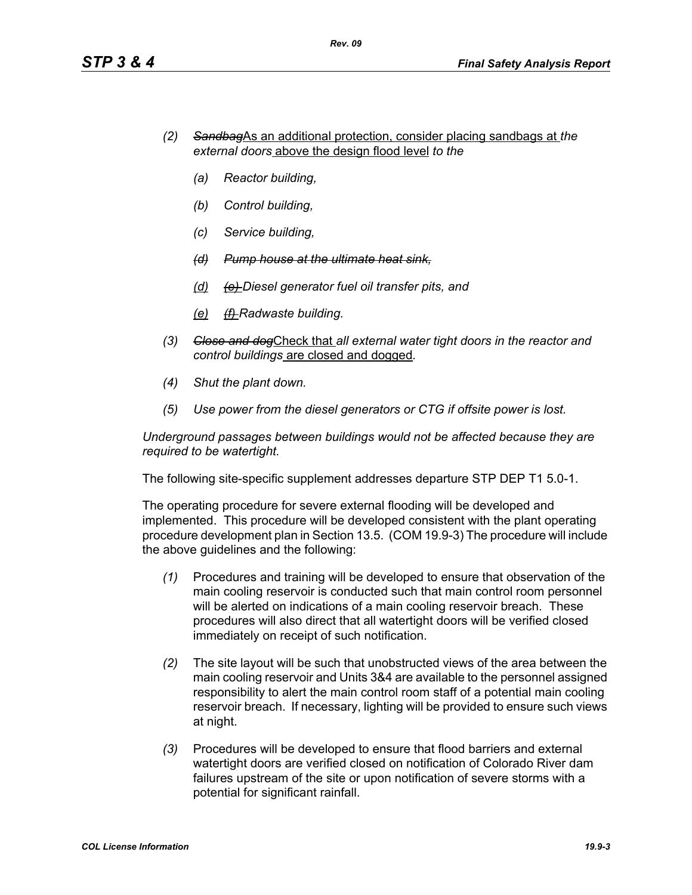- *(2) Sandbag*As an additional protection, consider placing sandbags at *the external doors* above the design flood level *to the*
	- *(a) Reactor building,*
	- *(b) Control building,*
	- *(c) Service building,*
	- *(d) Pump house at the ultimate heat sink,*
	- *(d) (e) Diesel generator fuel oil transfer pits, and*
	- *(e) (f) Radwaste building.*
- *(3) Close and dog*Check that *all external water tight doors in the reactor and control buildings* are closed and dogged*.*
- *(4) Shut the plant down.*
- *(5) Use power from the diesel generators or CTG if offsite power is lost.*

*Underground passages between buildings would not be affected because they are required to be watertight.*

The following site-specific supplement addresses departure STP DEP T1 5.0-1.

The operating procedure for severe external flooding will be developed and implemented. This procedure will be developed consistent with the plant operating procedure development plan in Section 13.5. (COM 19.9-3) The procedure will include the above guidelines and the following:

- *(1)* Procedures and training will be developed to ensure that observation of the main cooling reservoir is conducted such that main control room personnel will be alerted on indications of a main cooling reservoir breach. These procedures will also direct that all watertight doors will be verified closed immediately on receipt of such notification.
- *(2)* The site layout will be such that unobstructed views of the area between the main cooling reservoir and Units 3&4 are available to the personnel assigned responsibility to alert the main control room staff of a potential main cooling reservoir breach. If necessary, lighting will be provided to ensure such views at night.
- *(3)* Procedures will be developed to ensure that flood barriers and external watertight doors are verified closed on notification of Colorado River dam failures upstream of the site or upon notification of severe storms with a potential for significant rainfall.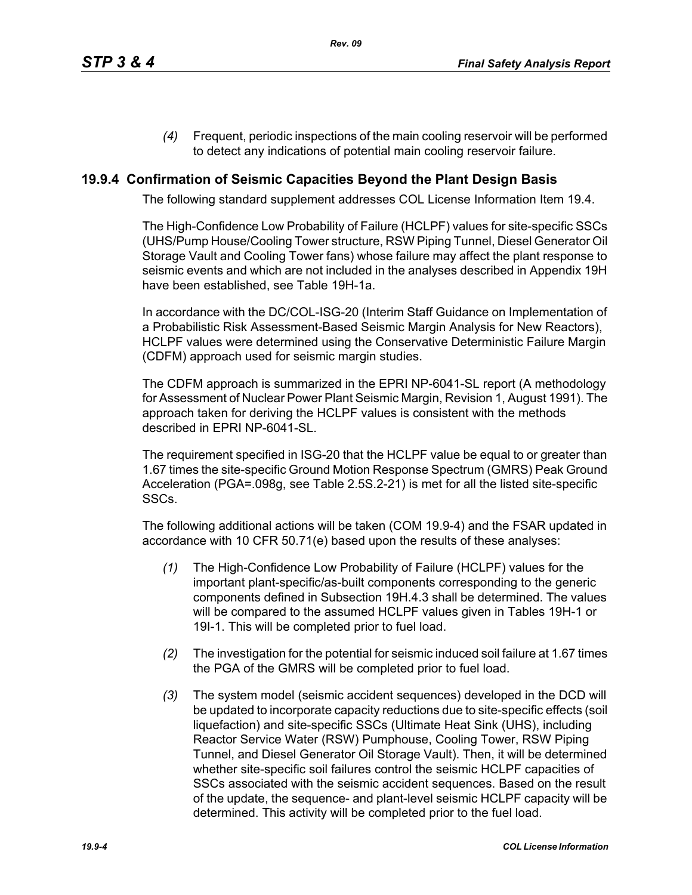*(4)* Frequent, periodic inspections of the main cooling reservoir will be performed to detect any indications of potential main cooling reservoir failure.

## **19.9.4 Confirmation of Seismic Capacities Beyond the Plant Design Basis**

The following standard supplement addresses COL License Information Item 19.4.

The High-Confidence Low Probability of Failure (HCLPF) values for site-specific SSCs (UHS/Pump House/Cooling Tower structure, RSW Piping Tunnel, Diesel Generator Oil Storage Vault and Cooling Tower fans) whose failure may affect the plant response to seismic events and which are not included in the analyses described in Appendix 19H have been established, see Table 19H-1a.

In accordance with the DC/COL-ISG-20 (Interim Staff Guidance on Implementation of a Probabilistic Risk Assessment-Based Seismic Margin Analysis for New Reactors), HCLPF values were determined using the Conservative Deterministic Failure Margin (CDFM) approach used for seismic margin studies.

The CDFM approach is summarized in the EPRI NP-6041-SL report (A methodology for Assessment of Nuclear Power Plant Seismic Margin, Revision 1, August 1991). The approach taken for deriving the HCLPF values is consistent with the methods described in EPRI NP-6041-SL.

The requirement specified in ISG-20 that the HCLPF value be equal to or greater than 1.67 times the site-specific Ground Motion Response Spectrum (GMRS) Peak Ground Acceleration (PGA=.098g, see Table 2.5S.2-21) is met for all the listed site-specific SSCs.

The following additional actions will be taken (COM 19.9-4) and the FSAR updated in accordance with 10 CFR 50.71(e) based upon the results of these analyses:

- *(1)* The High-Confidence Low Probability of Failure (HCLPF) values for the important plant-specific/as-built components corresponding to the generic components defined in Subsection 19H.4.3 shall be determined. The values will be compared to the assumed HCLPF values given in Tables 19H-1 or 19I-1. This will be completed prior to fuel load.
- *(2)* The investigation for the potential for seismic induced soil failure at 1.67 times the PGA of the GMRS will be completed prior to fuel load.
- *(3)* The system model (seismic accident sequences) developed in the DCD will be updated to incorporate capacity reductions due to site-specific effects (soil liquefaction) and site-specific SSCs (Ultimate Heat Sink (UHS), including Reactor Service Water (RSW) Pumphouse, Cooling Tower, RSW Piping Tunnel, and Diesel Generator Oil Storage Vault). Then, it will be determined whether site-specific soil failures control the seismic HCLPF capacities of SSCs associated with the seismic accident sequences. Based on the result of the update, the sequence- and plant-level seismic HCLPF capacity will be determined. This activity will be completed prior to the fuel load.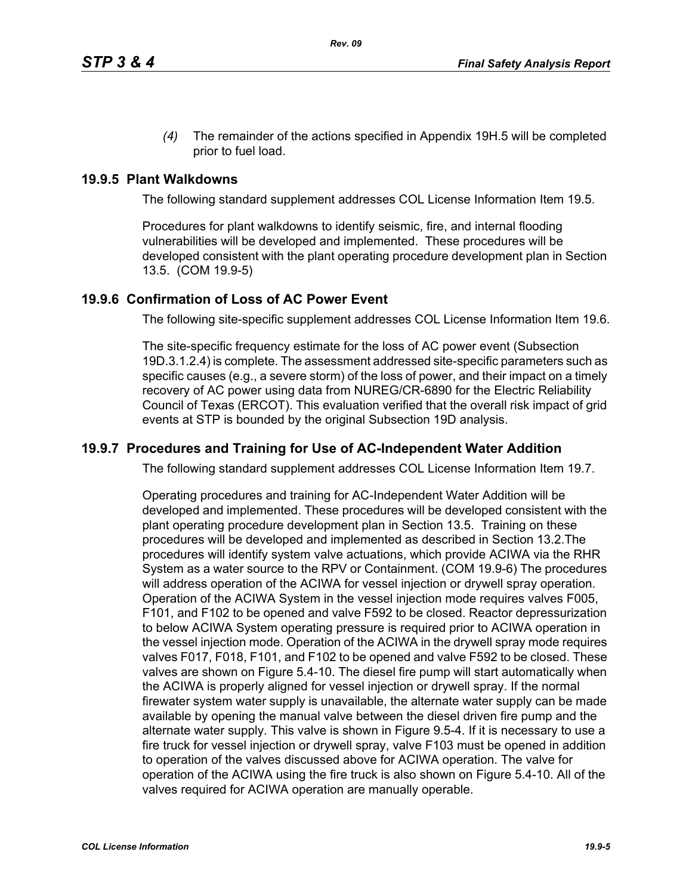*(4)* The remainder of the actions specified in Appendix 19H.5 will be completed prior to fuel load.

#### **19.9.5 Plant Walkdowns**

The following standard supplement addresses COL License Information Item 19.5.

Procedures for plant walkdowns to identify seismic, fire, and internal flooding vulnerabilities will be developed and implemented. These procedures will be developed consistent with the plant operating procedure development plan in Section 13.5. (COM 19.9-5)

#### **19.9.6 Confirmation of Loss of AC Power Event**

The following site-specific supplement addresses COL License Information Item 19.6.

The site-specific frequency estimate for the loss of AC power event (Subsection 19D.3.1.2.4) is complete. The assessment addressed site-specific parameters such as specific causes (e.g., a severe storm) of the loss of power, and their impact on a timely recovery of AC power using data from NUREG/CR-6890 for the Electric Reliability Council of Texas (ERCOT). This evaluation verified that the overall risk impact of grid events at STP is bounded by the original Subsection 19D analysis.

#### **19.9.7 Procedures and Training for Use of AC-Independent Water Addition**

The following standard supplement addresses COL License Information Item 19.7.

Operating procedures and training for AC-Independent Water Addition will be developed and implemented. These procedures will be developed consistent with the plant operating procedure development plan in Section 13.5. Training on these procedures will be developed and implemented as described in Section 13.2.The procedures will identify system valve actuations, which provide ACIWA via the RHR System as a water source to the RPV or Containment. (COM 19.9-6) The procedures will address operation of the ACIWA for vessel injection or drywell spray operation. Operation of the ACIWA System in the vessel injection mode requires valves F005, F101, and F102 to be opened and valve F592 to be closed. Reactor depressurization to below ACIWA System operating pressure is required prior to ACIWA operation in the vessel injection mode. Operation of the ACIWA in the drywell spray mode requires valves F017, F018, F101, and F102 to be opened and valve F592 to be closed. These valves are shown on Figure 5.4-10. The diesel fire pump will start automatically when the ACIWA is properly aligned for vessel injection or drywell spray. If the normal firewater system water supply is unavailable, the alternate water supply can be made available by opening the manual valve between the diesel driven fire pump and the alternate water supply. This valve is shown in Figure 9.5-4. If it is necessary to use a fire truck for vessel injection or drywell spray, valve F103 must be opened in addition to operation of the valves discussed above for ACIWA operation. The valve for operation of the ACIWA using the fire truck is also shown on Figure 5.4-10. All of the valves required for ACIWA operation are manually operable.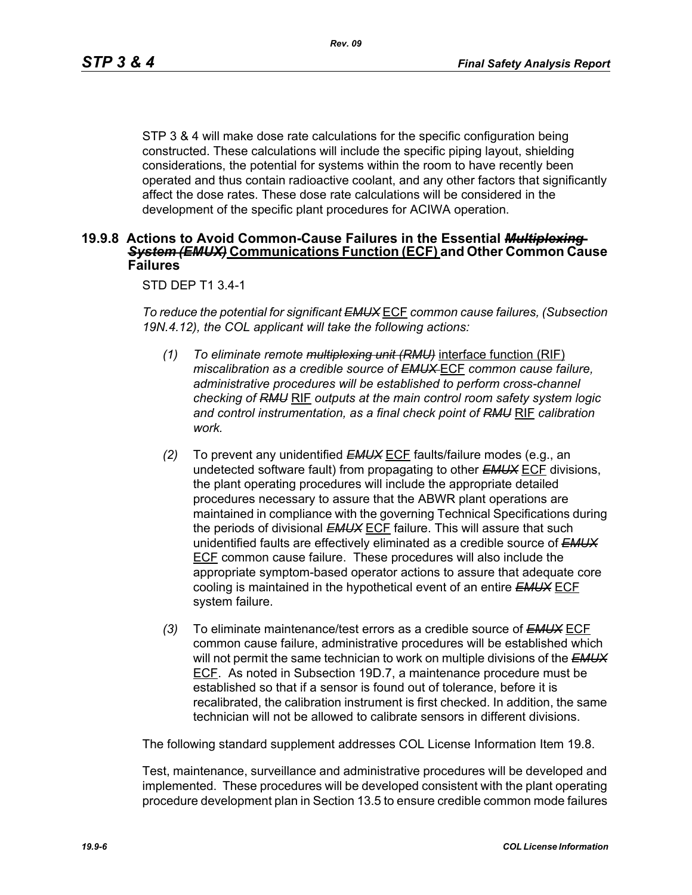STP 3 & 4 will make dose rate calculations for the specific configuration being constructed. These calculations will include the specific piping layout, shielding considerations, the potential for systems within the room to have recently been operated and thus contain radioactive coolant, and any other factors that significantly affect the dose rates. These dose rate calculations will be considered in the development of the specific plant procedures for ACIWA operation.

#### **19.9.8 Actions to Avoid Common-Cause Failures in the Essential** *Multiplexing System (EMUX)* **Communications Function (ECF) and Other Common Cause Failures**

#### STD DEP T1 3.4-1

*To reduce the potential for significant EMUX* ECF *common cause failures, (Subsection 19N.4.12), the COL applicant will take the following actions:*

- *(1) To eliminate remote multiplexing unit (RMU)* interface function (RIF) *miscalibration as a credible source of EMUX* ECF *common cause failure, administrative procedures will be established to perform cross-channel checking of RMU* RIF *outputs at the main control room safety system logic and control instrumentation, as a final check point of RMU* RIF *calibration work.*
- *(2)* To prevent any unidentified *EMUX* ECF faults/failure modes (e.g., an undetected software fault) from propagating to other *EMUX* ECF divisions, the plant operating procedures will include the appropriate detailed procedures necessary to assure that the ABWR plant operations are maintained in compliance with the governing Technical Specifications during the periods of divisional *EMUX* ECF failure. This will assure that such unidentified faults are effectively eliminated as a credible source of *EMUX* ECF common cause failure. These procedures will also include the appropriate symptom-based operator actions to assure that adequate core cooling is maintained in the hypothetical event of an entire *EMUX* ECF system failure.
- *(3)* To eliminate maintenance/test errors as a credible source of *EMUX* ECF common cause failure, administrative procedures will be established which will not permit the same technician to work on multiple divisions of the *EMUX* ECF. As noted in Subsection 19D.7, a maintenance procedure must be established so that if a sensor is found out of tolerance, before it is recalibrated, the calibration instrument is first checked. In addition, the same technician will not be allowed to calibrate sensors in different divisions.

The following standard supplement addresses COL License Information Item 19.8.

Test, maintenance, surveillance and administrative procedures will be developed and implemented. These procedures will be developed consistent with the plant operating procedure development plan in Section 13.5 to ensure credible common mode failures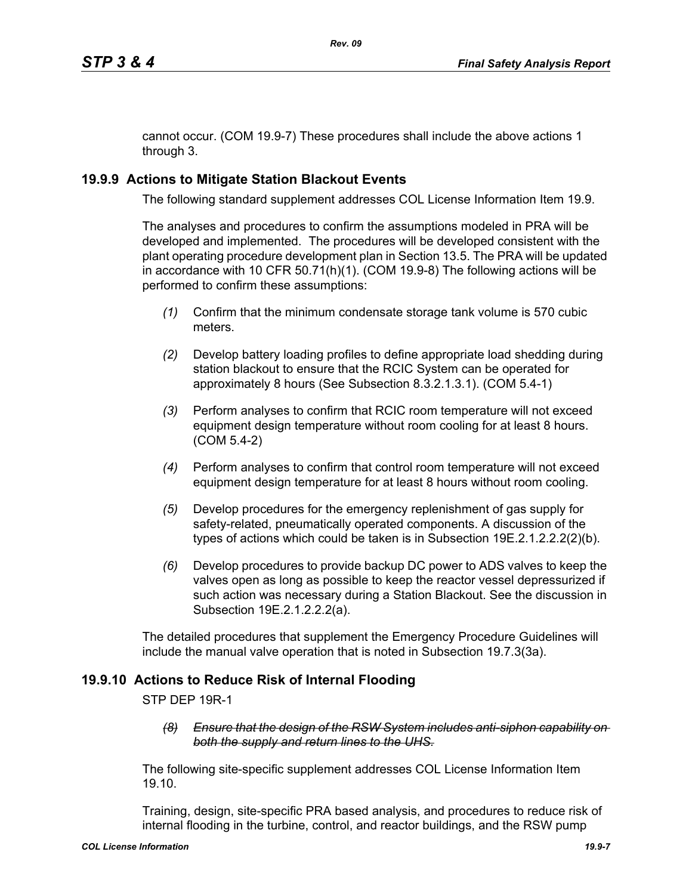cannot occur. (COM 19.9-7) These procedures shall include the above actions 1 through 3.

# **19.9.9 Actions to Mitigate Station Blackout Events**

The following standard supplement addresses COL License Information Item 19.9.

The analyses and procedures to confirm the assumptions modeled in PRA will be developed and implemented. The procedures will be developed consistent with the plant operating procedure development plan in Section 13.5. The PRA will be updated in accordance with 10 CFR 50.71(h)(1). (COM 19.9-8) The following actions will be performed to confirm these assumptions:

- *(1)* Confirm that the minimum condensate storage tank volume is 570 cubic meters.
- *(2)* Develop battery loading profiles to define appropriate load shedding during station blackout to ensure that the RCIC System can be operated for approximately 8 hours (See Subsection 8.3.2.1.3.1). (COM 5.4-1)
- *(3)* Perform analyses to confirm that RCIC room temperature will not exceed equipment design temperature without room cooling for at least 8 hours. (COM 5.4-2)
- *(4)* Perform analyses to confirm that control room temperature will not exceed equipment design temperature for at least 8 hours without room cooling.
- *(5)* Develop procedures for the emergency replenishment of gas supply for safety-related, pneumatically operated components. A discussion of the types of actions which could be taken is in Subsection 19E.2.1.2.2.2(2)(b).
- *(6)* Develop procedures to provide backup DC power to ADS valves to keep the valves open as long as possible to keep the reactor vessel depressurized if such action was necessary during a Station Blackout. See the discussion in Subsection 19E.2.1.2.2.2(a).

The detailed procedures that supplement the Emergency Procedure Guidelines will include the manual valve operation that is noted in Subsection 19.7.3(3a).

# **19.9.10 Actions to Reduce Risk of Internal Flooding**

STP DEP 19R-1

*(8) Ensure that the design of the RSW System includes anti-siphon capability on both the supply and return lines to the UHS.*

The following site-specific supplement addresses COL License Information Item 19.10.

Training, design, site-specific PRA based analysis, and procedures to reduce risk of internal flooding in the turbine, control, and reactor buildings, and the RSW pump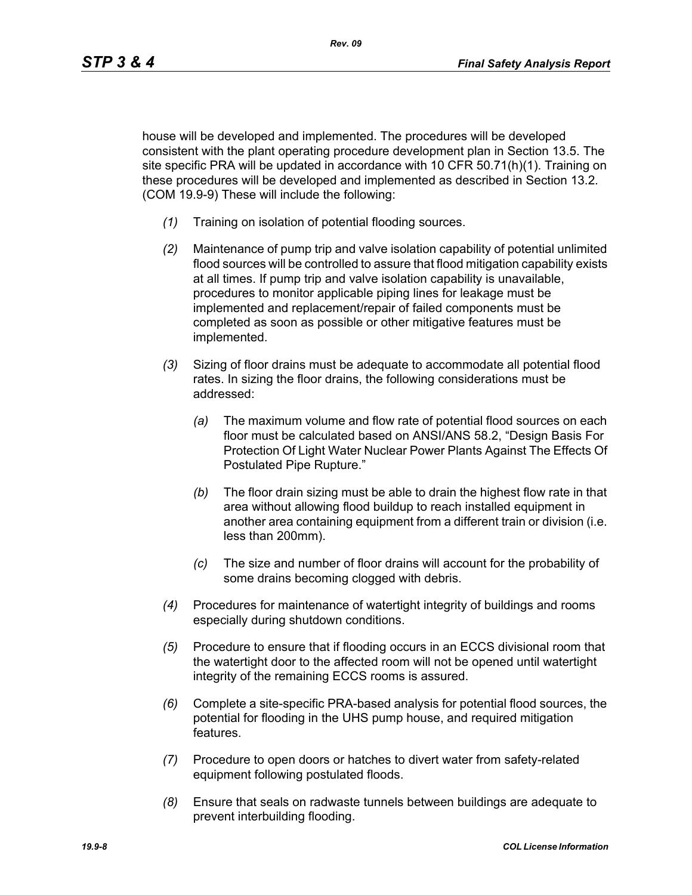house will be developed and implemented. The procedures will be developed consistent with the plant operating procedure development plan in Section 13.5. The site specific PRA will be updated in accordance with 10 CFR 50.71(h)(1). Training on these procedures will be developed and implemented as described in Section 13.2. (COM 19.9-9) These will include the following:

- *(1)* Training on isolation of potential flooding sources.
- *(2)* Maintenance of pump trip and valve isolation capability of potential unlimited flood sources will be controlled to assure that flood mitigation capability exists at all times. If pump trip and valve isolation capability is unavailable, procedures to monitor applicable piping lines for leakage must be implemented and replacement/repair of failed components must be completed as soon as possible or other mitigative features must be implemented.
- *(3)* Sizing of floor drains must be adequate to accommodate all potential flood rates. In sizing the floor drains, the following considerations must be addressed:
	- *(a)* The maximum volume and flow rate of potential flood sources on each floor must be calculated based on ANSI/ANS 58.2, "Design Basis For Protection Of Light Water Nuclear Power Plants Against The Effects Of Postulated Pipe Rupture."
	- *(b)* The floor drain sizing must be able to drain the highest flow rate in that area without allowing flood buildup to reach installed equipment in another area containing equipment from a different train or division (i.e. less than 200mm).
	- *(c)* The size and number of floor drains will account for the probability of some drains becoming clogged with debris.
- *(4)* Procedures for maintenance of watertight integrity of buildings and rooms especially during shutdown conditions.
- *(5)* Procedure to ensure that if flooding occurs in an ECCS divisional room that the watertight door to the affected room will not be opened until watertight integrity of the remaining ECCS rooms is assured.
- *(6)* Complete a site-specific PRA-based analysis for potential flood sources, the potential for flooding in the UHS pump house, and required mitigation features.
- *(7)* Procedure to open doors or hatches to divert water from safety-related equipment following postulated floods.
- *(8)* Ensure that seals on radwaste tunnels between buildings are adequate to prevent interbuilding flooding.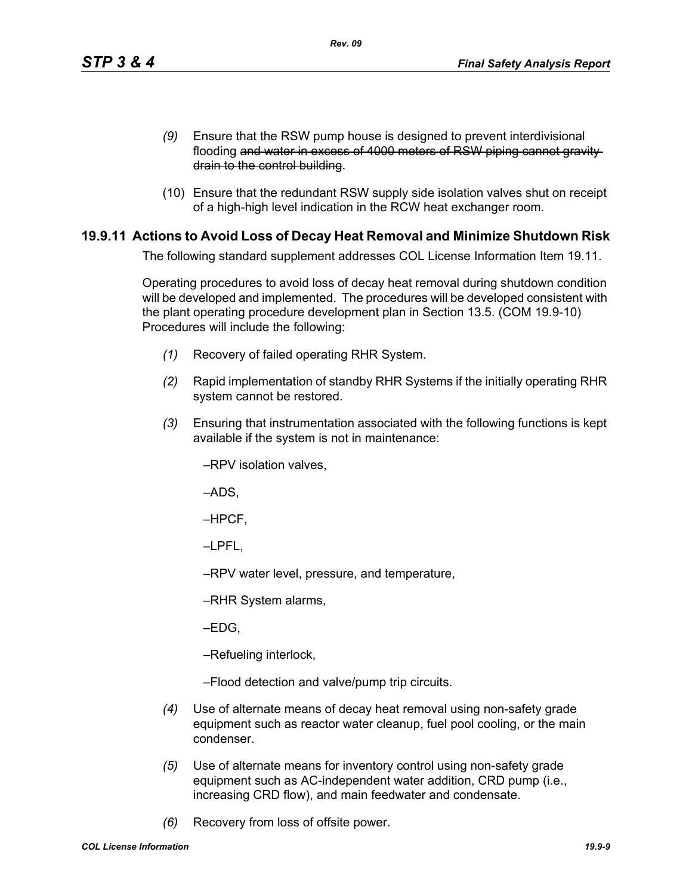- *(9)* Ensure that the RSW pump house is designed to prevent interdivisional flooding and water in excess of 4000 meters of RSW piping cannot gravity drain to the control building.
- (10) Ensure that the redundant RSW supply side isolation valves shut on receipt of a high-high level indication in the RCW heat exchanger room.

# **19.9.11 Actions to Avoid Loss of Decay Heat Removal and Minimize Shutdown Risk**

The following standard supplement addresses COL License Information Item 19.11.

Operating procedures to avoid loss of decay heat removal during shutdown condition will be developed and implemented. The procedures will be developed consistent with the plant operating procedure development plan in Section 13.5. (COM 19.9-10) Procedures will include the following:

- *(1)* Recovery of failed operating RHR System.
- *(2)* Rapid implementation of standby RHR Systems if the initially operating RHR system cannot be restored.
- *(3)* Ensuring that instrumentation associated with the following functions is kept available if the system is not in maintenance:

–RPV isolation valves,

–ADS,

–HPCF,

–LPFL,

–RPV water level, pressure, and temperature,

–RHR System alarms,

–EDG,

–Refueling interlock,

–Flood detection and valve/pump trip circuits.

- *(4)* Use of alternate means of decay heat removal using non-safety grade equipment such as reactor water cleanup, fuel pool cooling, or the main condenser.
- *(5)* Use of alternate means for inventory control using non-safety grade equipment such as AC-independent water addition, CRD pump (i.e., increasing CRD flow), and main feedwater and condensate.
- *(6)* Recovery from loss of offsite power.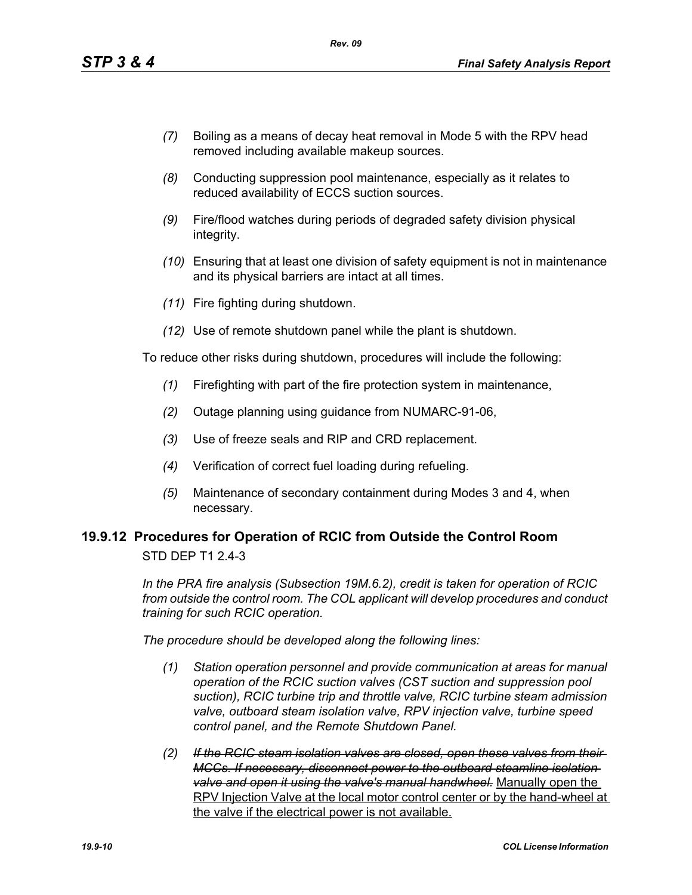- *(7)* Boiling as a means of decay heat removal in Mode 5 with the RPV head removed including available makeup sources.
- *(8)* Conducting suppression pool maintenance, especially as it relates to reduced availability of ECCS suction sources.
- *(9)* Fire/flood watches during periods of degraded safety division physical integrity.
- *(10)* Ensuring that at least one division of safety equipment is not in maintenance and its physical barriers are intact at all times.
- *(11)* Fire fighting during shutdown.
- *(12)* Use of remote shutdown panel while the plant is shutdown.

To reduce other risks during shutdown, procedures will include the following:

- *(1)* Firefighting with part of the fire protection system in maintenance,
- *(2)* Outage planning using guidance from NUMARC-91-06,
- *(3)* Use of freeze seals and RIP and CRD replacement.
- *(4)* Verification of correct fuel loading during refueling.
- *(5)* Maintenance of secondary containment during Modes 3 and 4, when necessary.

#### **19.9.12 Procedures for Operation of RCIC from Outside the Control Room** STD DEP T1 2.4-3

*In the PRA fire analysis (Subsection 19M.6.2), credit is taken for operation of RCIC from outside the control room. The COL applicant will develop procedures and conduct training for such RCIC operation.*

*The procedure should be developed along the following lines:*

- *(1) Station operation personnel and provide communication at areas for manual operation of the RCIC suction valves (CST suction and suppression pool suction), RCIC turbine trip and throttle valve, RCIC turbine steam admission valve, outboard steam isolation valve, RPV injection valve, turbine speed control panel, and the Remote Shutdown Panel.*
- *(2) If the RCIC steam isolation valves are closed, open these valves from their MCCs. If necessary, disconnect power to the outboard steamline isolation valve and open it using the valve's manual handwheel.* Manually open the RPV Injection Valve at the local motor control center or by the hand-wheel at the valve if the electrical power is not available.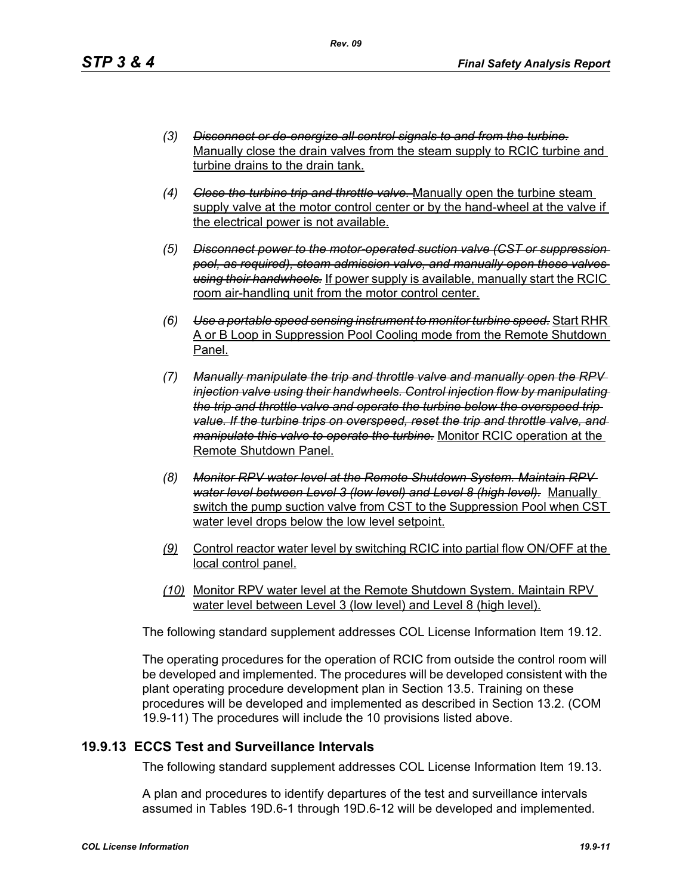- *(3) Disconnect or de-energize all control signals to and from the turbine.* Manually close the drain valves from the steam supply to RCIC turbine and turbine drains to the drain tank.
- *(4) Close the turbine trip and throttle valve.* Manually open the turbine steam supply valve at the motor control center or by the hand-wheel at the valve if the electrical power is not available.
- *(5) Disconnect power to the motor-operated suction valve (CST or suppression pool, as required), steam admission valve, and manually open these valves using their handwheels.* If power supply is available, manually start the RCIC room air-handling unit from the motor control center.
- *(6) Use a portable speed sensing instrument to monitor turbine speed.* Start RHR A or B Loop in Suppression Pool Cooling mode from the Remote Shutdown Panel.
- *(7) Manually manipulate the trip and throttle valve and manually open the RPV injection valve using their handwheels. Control injection flow by manipulating the trip and throttle valve and operate the turbine below the overspeed trip value. If the turbine trips on overspeed, reset the trip and throttle valve, and manipulate this valve to operate the turbine.* Monitor RCIC operation at the Remote Shutdown Panel.
- *(8) Monitor RPV water level at the Remote Shutdown System. Maintain RPV water level between Level 3 (low level) and Level 8 (high level).* Manually switch the pump suction valve from CST to the Suppression Pool when CST water level drops below the low level setpoint.
- *(9)* Control reactor water level by switching RCIC into partial flow ON/OFF at the local control panel.
- *(10)* Monitor RPV water level at the Remote Shutdown System. Maintain RPV water level between Level 3 (low level) and Level 8 (high level).

The following standard supplement addresses COL License Information Item 19.12.

The operating procedures for the operation of RCIC from outside the control room will be developed and implemented. The procedures will be developed consistent with the plant operating procedure development plan in Section 13.5. Training on these procedures will be developed and implemented as described in Section 13.2. (COM 19.9-11) The procedures will include the 10 provisions listed above.

## **19.9.13 ECCS Test and Surveillance Intervals**

The following standard supplement addresses COL License Information Item 19.13.

A plan and procedures to identify departures of the test and surveillance intervals assumed in Tables 19D.6-1 through 19D.6-12 will be developed and implemented.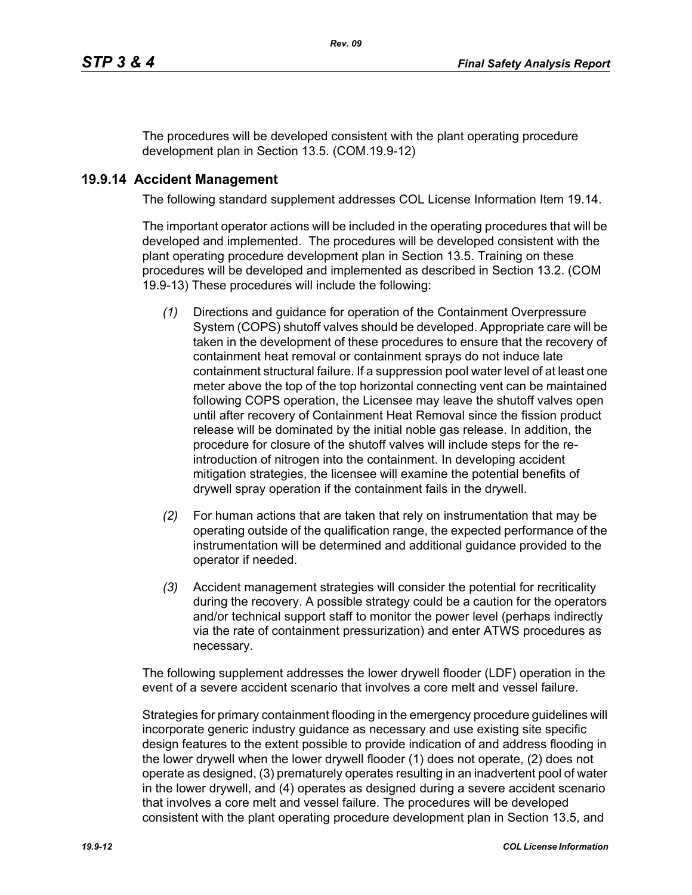The procedures will be developed consistent with the plant operating procedure development plan in Section 13.5. (COM.19.9-12)

## **19.9.14 Accident Management**

The following standard supplement addresses COL License Information Item 19.14.

The important operator actions will be included in the operating procedures that will be developed and implemented. The procedures will be developed consistent with the plant operating procedure development plan in Section 13.5. Training on these procedures will be developed and implemented as described in Section 13.2. (COM 19.9-13) These procedures will include the following:

- *(1)* Directions and guidance for operation of the Containment Overpressure System (COPS) shutoff valves should be developed. Appropriate care will be taken in the development of these procedures to ensure that the recovery of containment heat removal or containment sprays do not induce late containment structural failure. If a suppression pool water level of at least one meter above the top of the top horizontal connecting vent can be maintained following COPS operation, the Licensee may leave the shutoff valves open until after recovery of Containment Heat Removal since the fission product release will be dominated by the initial noble gas release. In addition, the procedure for closure of the shutoff valves will include steps for the reintroduction of nitrogen into the containment. In developing accident mitigation strategies, the licensee will examine the potential benefits of drywell spray operation if the containment fails in the drywell.
- *(2)* For human actions that are taken that rely on instrumentation that may be operating outside of the qualification range, the expected performance of the instrumentation will be determined and additional guidance provided to the operator if needed.
- *(3)* Accident management strategies will consider the potential for recriticality during the recovery. A possible strategy could be a caution for the operators and/or technical support staff to monitor the power level (perhaps indirectly via the rate of containment pressurization) and enter ATWS procedures as necessary.

The following supplement addresses the lower drywell flooder (LDF) operation in the event of a severe accident scenario that involves a core melt and vessel failure.

Strategies for primary containment flooding in the emergency procedure guidelines will incorporate generic industry guidance as necessary and use existing site specific design features to the extent possible to provide indication of and address flooding in the lower drywell when the lower drywell flooder (1) does not operate, (2) does not operate as designed, (3) prematurely operates resulting in an inadvertent pool of water in the lower drywell, and (4) operates as designed during a severe accident scenario that involves a core melt and vessel failure. The procedures will be developed consistent with the plant operating procedure development plan in Section 13.5, and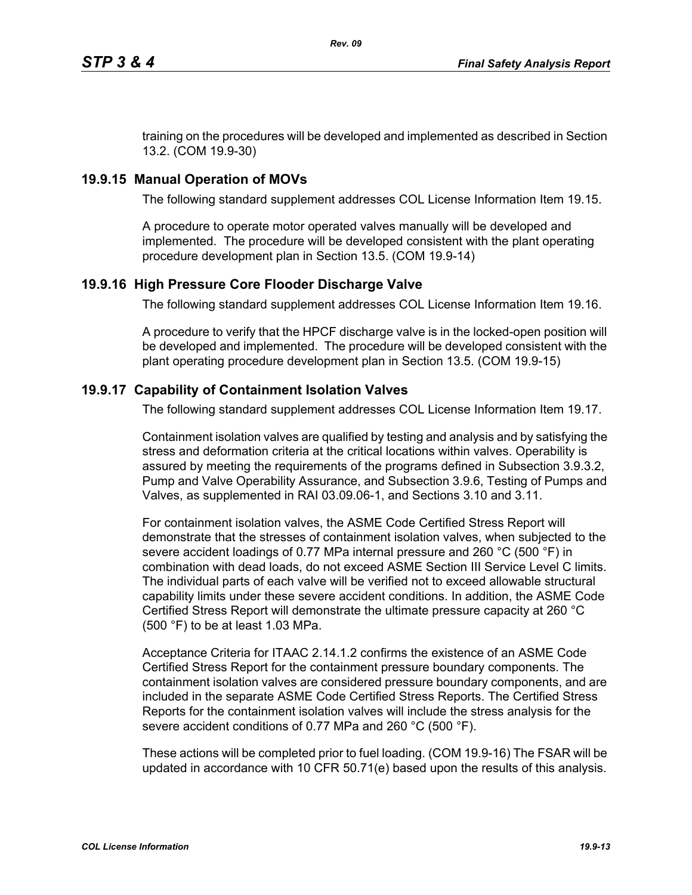training on the procedures will be developed and implemented as described in Section 13.2. (COM 19.9-30)

# **19.9.15 Manual Operation of MOVs**

The following standard supplement addresses COL License Information Item 19.15.

A procedure to operate motor operated valves manually will be developed and implemented. The procedure will be developed consistent with the plant operating procedure development plan in Section 13.5. (COM 19.9-14)

## **19.9.16 High Pressure Core Flooder Discharge Valve**

The following standard supplement addresses COL License Information Item 19.16.

A procedure to verify that the HPCF discharge valve is in the locked-open position will be developed and implemented. The procedure will be developed consistent with the plant operating procedure development plan in Section 13.5. (COM 19.9-15)

## **19.9.17 Capability of Containment Isolation Valves**

The following standard supplement addresses COL License Information Item 19.17.

Containment isolation valves are qualified by testing and analysis and by satisfying the stress and deformation criteria at the critical locations within valves. Operability is assured by meeting the requirements of the programs defined in Subsection 3.9.3.2, Pump and Valve Operability Assurance, and Subsection 3.9.6, Testing of Pumps and Valves, as supplemented in RAI 03.09.06-1, and Sections 3.10 and 3.11.

For containment isolation valves, the ASME Code Certified Stress Report will demonstrate that the stresses of containment isolation valves, when subjected to the severe accident loadings of 0.77 MPa internal pressure and 260 °C (500 °F) in combination with dead loads, do not exceed ASME Section III Service Level C limits. The individual parts of each valve will be verified not to exceed allowable structural capability limits under these severe accident conditions. In addition, the ASME Code Certified Stress Report will demonstrate the ultimate pressure capacity at 260 °C (500 °F) to be at least 1.03 MPa.

Acceptance Criteria for ITAAC 2.14.1.2 confirms the existence of an ASME Code Certified Stress Report for the containment pressure boundary components. The containment isolation valves are considered pressure boundary components, and are included in the separate ASME Code Certified Stress Reports. The Certified Stress Reports for the containment isolation valves will include the stress analysis for the severe accident conditions of 0.77 MPa and 260 °C (500 °F).

These actions will be completed prior to fuel loading. (COM 19.9-16) The FSAR will be updated in accordance with 10 CFR 50.71(e) based upon the results of this analysis.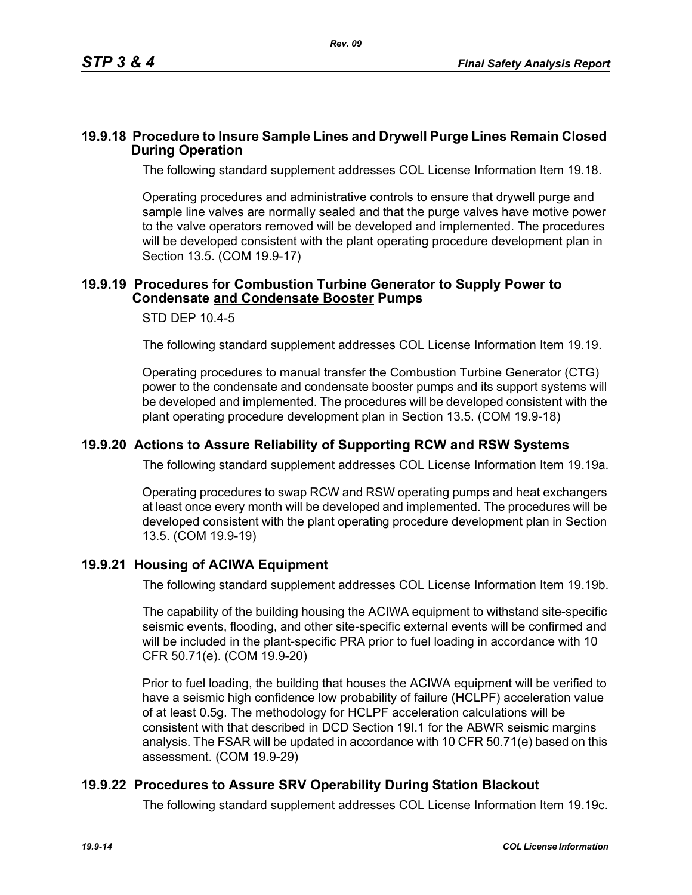#### **19.9.18 Procedure to Insure Sample Lines and Drywell Purge Lines Remain Closed During Operation**

The following standard supplement addresses COL License Information Item 19.18.

Operating procedures and administrative controls to ensure that drywell purge and sample line valves are normally sealed and that the purge valves have motive power to the valve operators removed will be developed and implemented. The procedures will be developed consistent with the plant operating procedure development plan in Section 13.5. (COM 19.9-17)

#### **19.9.19 Procedures for Combustion Turbine Generator to Supply Power to Condensate and Condensate Booster Pumps**

#### STD DEP 10.4-5

The following standard supplement addresses COL License Information Item 19.19.

Operating procedures to manual transfer the Combustion Turbine Generator (CTG) power to the condensate and condensate booster pumps and its support systems will be developed and implemented. The procedures will be developed consistent with the plant operating procedure development plan in Section 13.5. (COM 19.9-18)

#### **19.9.20 Actions to Assure Reliability of Supporting RCW and RSW Systems**

The following standard supplement addresses COL License Information Item 19.19a.

Operating procedures to swap RCW and RSW operating pumps and heat exchangers at least once every month will be developed and implemented. The procedures will be developed consistent with the plant operating procedure development plan in Section 13.5. (COM 19.9-19)

#### **19.9.21 Housing of ACIWA Equipment**

The following standard supplement addresses COL License Information Item 19.19b.

The capability of the building housing the ACIWA equipment to withstand site-specific seismic events, flooding, and other site-specific external events will be confirmed and will be included in the plant-specific PRA prior to fuel loading in accordance with 10 CFR 50.71(e). (COM 19.9-20)

Prior to fuel loading, the building that houses the ACIWA equipment will be verified to have a seismic high confidence low probability of failure (HCLPF) acceleration value of at least 0.5g. The methodology for HCLPF acceleration calculations will be consistent with that described in DCD Section 19I.1 for the ABWR seismic margins analysis. The FSAR will be updated in accordance with 10 CFR 50.71(e) based on this assessment. (COM 19.9-29)

## **19.9.22 Procedures to Assure SRV Operability During Station Blackout**

The following standard supplement addresses COL License Information Item 19.19c.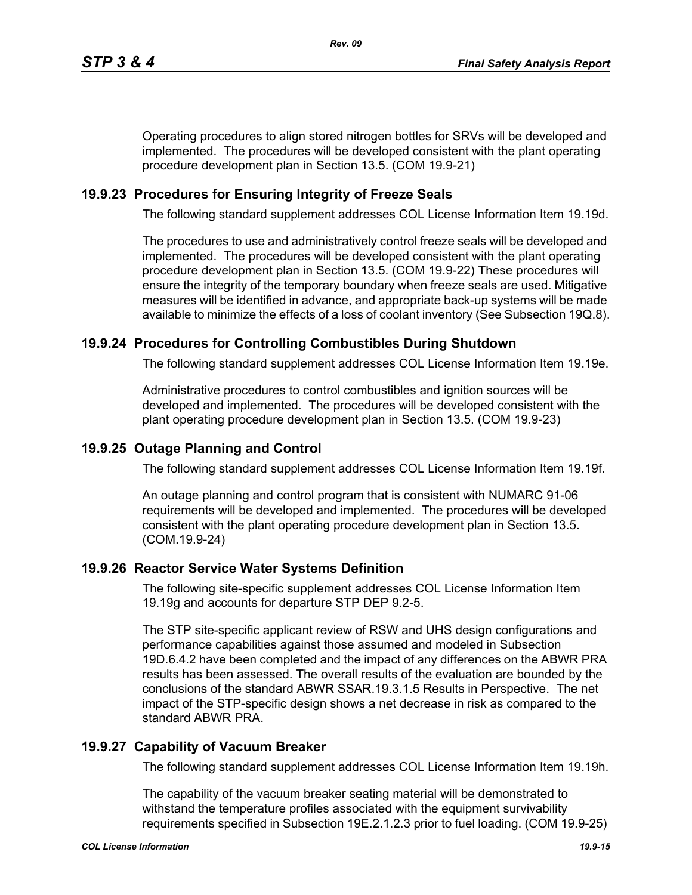Operating procedures to align stored nitrogen bottles for SRVs will be developed and implemented. The procedures will be developed consistent with the plant operating procedure development plan in Section 13.5. (COM 19.9-21)

# **19.9.23 Procedures for Ensuring Integrity of Freeze Seals**

The following standard supplement addresses COL License Information Item 19.19d.

The procedures to use and administratively control freeze seals will be developed and implemented. The procedures will be developed consistent with the plant operating procedure development plan in Section 13.5. (COM 19.9-22) These procedures will ensure the integrity of the temporary boundary when freeze seals are used. Mitigative measures will be identified in advance, and appropriate back-up systems will be made available to minimize the effects of a loss of coolant inventory (See Subsection 19Q.8).

# **19.9.24 Procedures for Controlling Combustibles During Shutdown**

The following standard supplement addresses COL License Information Item 19.19e.

Administrative procedures to control combustibles and ignition sources will be developed and implemented. The procedures will be developed consistent with the plant operating procedure development plan in Section 13.5. (COM 19.9-23)

## **19.9.25 Outage Planning and Control**

The following standard supplement addresses COL License Information Item 19.19f.

An outage planning and control program that is consistent with NUMARC 91-06 requirements will be developed and implemented. The procedures will be developed consistent with the plant operating procedure development plan in Section 13.5. (COM.19.9-24)

## **19.9.26 Reactor Service Water Systems Definition**

The following site-specific supplement addresses COL License Information Item 19.19g and accounts for departure STP DEP 9.2-5.

The STP site-specific applicant review of RSW and UHS design configurations and performance capabilities against those assumed and modeled in Subsection 19D.6.4.2 have been completed and the impact of any differences on the ABWR PRA results has been assessed. The overall results of the evaluation are bounded by the conclusions of the standard ABWR SSAR.19.3.1.5 Results in Perspective. The net impact of the STP-specific design shows a net decrease in risk as compared to the standard ABWR PRA.

## **19.9.27 Capability of Vacuum Breaker**

The following standard supplement addresses COL License Information Item 19.19h.

The capability of the vacuum breaker seating material will be demonstrated to withstand the temperature profiles associated with the equipment survivability requirements specified in Subsection 19E.2.1.2.3 prior to fuel loading. (COM 19.9-25)